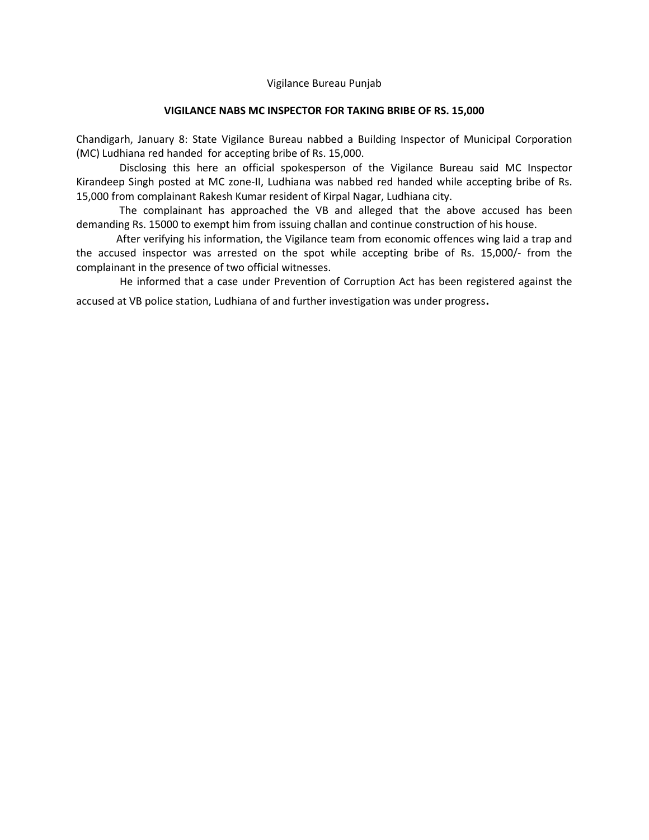Vigilance Bureau Punjab

## **VIGILANCE NABS MC INSPECTOR FOR TAKING BRIBE OF RS. 15,000**

Chandigarh, January 8: State Vigilance Bureau nabbed a Building Inspector of Municipal Corporation (MC) Ludhiana red handed for accepting bribe of Rs. 15,000.

 Disclosing this here an official spokesperson of the Vigilance Bureau said MC Inspector Kirandeep Singh posted at MC zone-II, Ludhiana was nabbed red handed while accepting bribe of Rs. 15,000 from complainant Rakesh Kumar resident of Kirpal Nagar, Ludhiana city.

 The complainant has approached the VB and alleged that the above accused has been demanding Rs. 15000 to exempt him from issuing challan and continue construction of his house.

 After verifying his information, the Vigilance team from economic offences wing laid a trap and the accused inspector was arrested on the spot while accepting bribe of Rs. 15,000/- from the complainant in the presence of two official witnesses.

 He informed that a case under Prevention of Corruption Act has been registered against the accused at VB police station, Ludhiana of and further investigation was under progress.